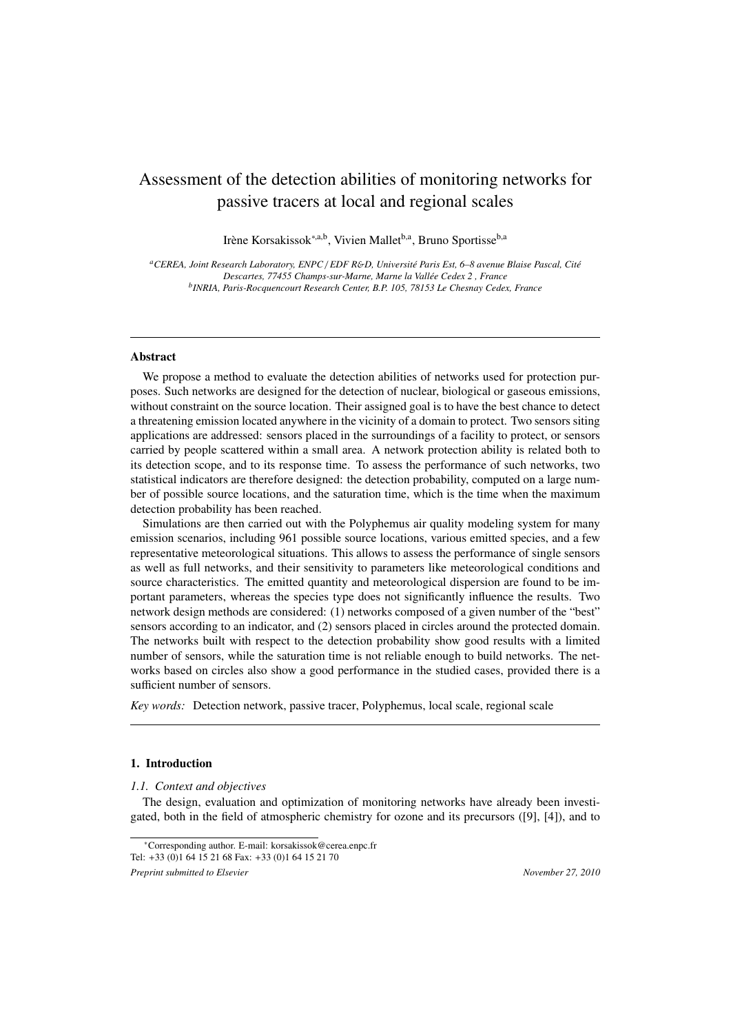# Assessment of the detection abilities of monitoring networks for passive tracers at local and regional scales

Irène Korsakissok<sup>\*,a,b</sup>, Vivien Mallet<sup>b,a</sup>, Bruno Sportisse<sup>b,a</sup>

*<sup>a</sup>CEREA, Joint Research Laboratory, ENPC* / *EDF R*&*D, Universit´e Paris Est, 6–8 avenue Blaise Pascal, Cit´e Descartes, 77455 Champs-sur-Marne, Marne la Vall´ee Cedex 2 , France b INRIA, Paris-Rocquencourt Research Center, B.P. 105, 78153 Le Chesnay Cedex, France*

# Abstract

We propose a method to evaluate the detection abilities of networks used for protection purposes. Such networks are designed for the detection of nuclear, biological or gaseous emissions, without constraint on the source location. Their assigned goal is to have the best chance to detect a threatening emission located anywhere in the vicinity of a domain to protect. Two sensors siting applications are addressed: sensors placed in the surroundings of a facility to protect, or sensors carried by people scattered within a small area. A network protection ability is related both to its detection scope, and to its response time. To assess the performance of such networks, two statistical indicators are therefore designed: the detection probability, computed on a large number of possible source locations, and the saturation time, which is the time when the maximum detection probability has been reached.

Simulations are then carried out with the Polyphemus air quality modeling system for many emission scenarios, including 961 possible source locations, various emitted species, and a few representative meteorological situations. This allows to assess the performance of single sensors as well as full networks, and their sensitivity to parameters like meteorological conditions and source characteristics. The emitted quantity and meteorological dispersion are found to be important parameters, whereas the species type does not significantly influence the results. Two network design methods are considered: (1) networks composed of a given number of the "best" sensors according to an indicator, and (2) sensors placed in circles around the protected domain. The networks built with respect to the detection probability show good results with a limited number of sensors, while the saturation time is not reliable enough to build networks. The networks based on circles also show a good performance in the studied cases, provided there is a sufficient number of sensors.

*Key words:* Detection network, passive tracer, Polyphemus, local scale, regional scale

## 1. Introduction

*1.1. Context and objectives*

The design, evaluation and optimization of monitoring networks have already been investigated, both in the field of atmospheric chemistry for ozone and its precursors ([9], [4]), and to

Tel: +33 (0)1 64 15 21 68 Fax: +33 (0)1 64 15 21 70

<sup>∗</sup>Corresponding author. E-mail: korsakissok@cerea.enpc.fr

*Preprint submitted to Elsevier November 27, 2010*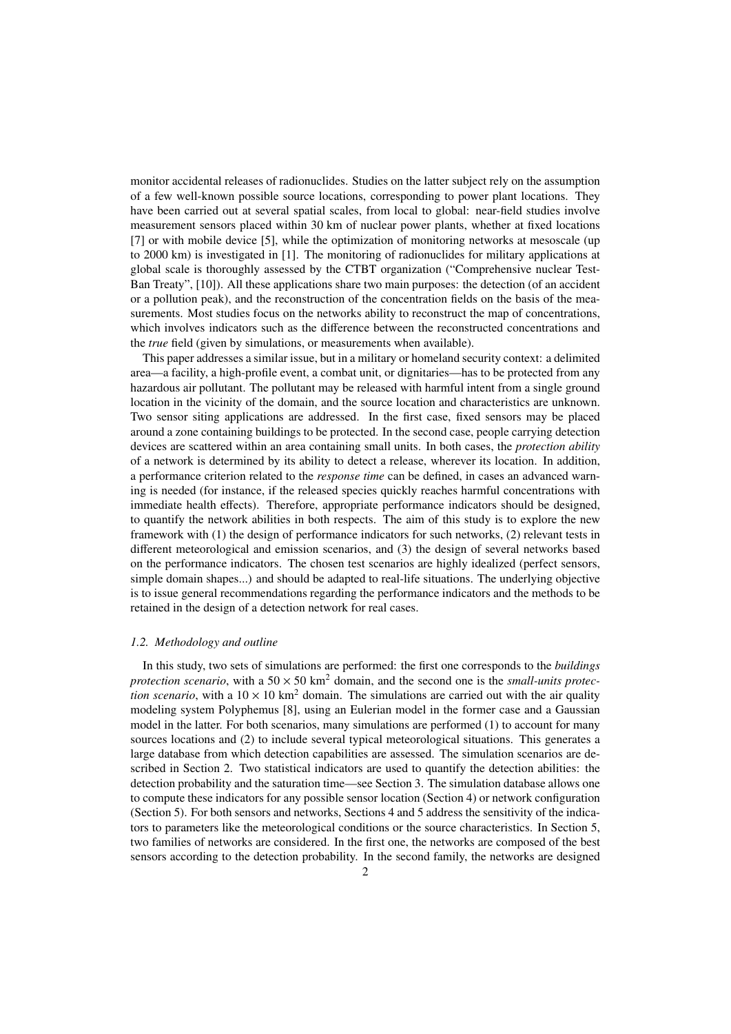monitor accidental releases of radionuclides. Studies on the latter subject rely on the assumption of a few well-known possible source locations, corresponding to power plant locations. They have been carried out at several spatial scales, from local to global: near-field studies involve measurement sensors placed within 30 km of nuclear power plants, whether at fixed locations [7] or with mobile device [5], while the optimization of monitoring networks at mesoscale (up to 2000 km) is investigated in [1]. The monitoring of radionuclides for military applications at global scale is thoroughly assessed by the CTBT organization ("Comprehensive nuclear Test-Ban Treaty", [10]). All these applications share two main purposes: the detection (of an accident or a pollution peak), and the reconstruction of the concentration fields on the basis of the measurements. Most studies focus on the networks ability to reconstruct the map of concentrations, which involves indicators such as the difference between the reconstructed concentrations and the *true* field (given by simulations, or measurements when available).

This paper addresses a similar issue, but in a military or homeland security context: a delimited area—a facility, a high-profile event, a combat unit, or dignitaries—has to be protected from any hazardous air pollutant. The pollutant may be released with harmful intent from a single ground location in the vicinity of the domain, and the source location and characteristics are unknown. Two sensor siting applications are addressed. In the first case, fixed sensors may be placed around a zone containing buildings to be protected. In the second case, people carrying detection devices are scattered within an area containing small units. In both cases, the *protection ability* of a network is determined by its ability to detect a release, wherever its location. In addition, a performance criterion related to the *response time* can be defined, in cases an advanced warning is needed (for instance, if the released species quickly reaches harmful concentrations with immediate health effects). Therefore, appropriate performance indicators should be designed, to quantify the network abilities in both respects. The aim of this study is to explore the new framework with (1) the design of performance indicators for such networks, (2) relevant tests in different meteorological and emission scenarios, and (3) the design of several networks based on the performance indicators. The chosen test scenarios are highly idealized (perfect sensors, simple domain shapes...) and should be adapted to real-life situations. The underlying objective is to issue general recommendations regarding the performance indicators and the methods to be retained in the design of a detection network for real cases.

## *1.2. Methodology and outline*

In this study, two sets of simulations are performed: the first one corresponds to the *buildings protection scenario*, with a  $50 \times 50 \text{ km}^2$  domain, and the second one is the *small-units protection scenario*, with a  $10 \times 10 \text{ km}^2$  domain. The simulations are carried out with the air quality modeling system Polyphemus [8], using an Eulerian model in the former case and a Gaussian model in the latter. For both scenarios, many simulations are performed (1) to account for many sources locations and (2) to include several typical meteorological situations. This generates a large database from which detection capabilities are assessed. The simulation scenarios are described in Section 2. Two statistical indicators are used to quantify the detection abilities: the detection probability and the saturation time—see Section 3. The simulation database allows one to compute these indicators for any possible sensor location (Section 4) or network configuration (Section 5). For both sensors and networks, Sections 4 and 5 address the sensitivity of the indicators to parameters like the meteorological conditions or the source characteristics. In Section 5, two families of networks are considered. In the first one, the networks are composed of the best sensors according to the detection probability. In the second family, the networks are designed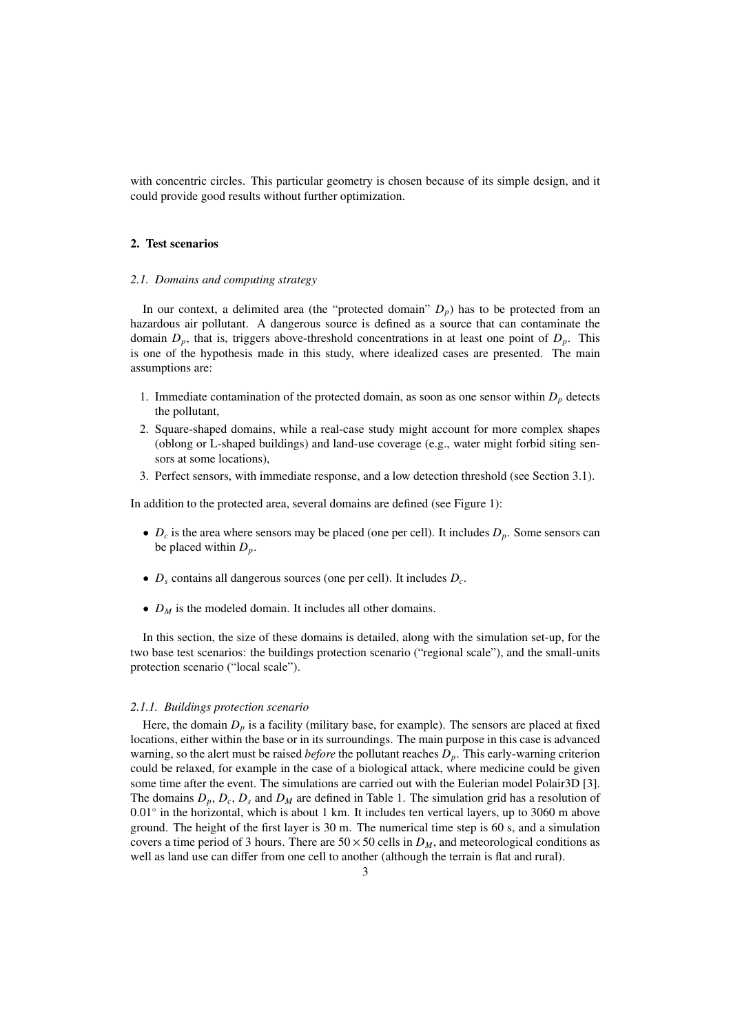with concentric circles. This particular geometry is chosen because of its simple design, and it could provide good results without further optimization.

# 2. Test scenarios

# *2.1. Domains and computing strategy*

In our context, a delimited area (the "protected domain"  $D_p$ ) has to be protected from an hazardous air pollutant. A dangerous source is defined as a source that can contaminate the domain  $D_p$ , that is, triggers above-threshold concentrations in at least one point of  $D_p$ . This is one of the hypothesis made in this study, where idealized cases are presented. The main assumptions are:

- 1. Immediate contamination of the protected domain, as soon as one sensor within  $D_p$  detects the pollutant,
- 2. Square-shaped domains, while a real-case study might account for more complex shapes (oblong or L-shaped buildings) and land-use coverage (e.g., water might forbid siting sensors at some locations),
- 3. Perfect sensors, with immediate response, and a low detection threshold (see Section 3.1).

In addition to the protected area, several domains are defined (see Figure 1):

- $D_c$  is the area where sensors may be placed (one per cell). It includes  $D_p$ . Some sensors can be placed within *Dp*.
- *D<sup>s</sup>* contains all dangerous sources (one per cell). It includes *Dc*.
- *D<sub>M</sub>* is the modeled domain. It includes all other domains.

In this section, the size of these domains is detailed, along with the simulation set-up, for the two base test scenarios: the buildings protection scenario ("regional scale"), and the small-units protection scenario ("local scale").

# *2.1.1. Buildings protection scenario*

Here, the domain  $D_p$  is a facility (military base, for example). The sensors are placed at fixed locations, either within the base or in its surroundings. The main purpose in this case is advanced warning, so the alert must be raised *before* the pollutant reaches *Dp*. This early-warning criterion could be relaxed, for example in the case of a biological attack, where medicine could be given some time after the event. The simulations are carried out with the Eulerian model Polair3D [3]. The domains  $D_p$ ,  $D_c$ ,  $D_s$  and  $D_M$  are defined in Table 1. The simulation grid has a resolution of 0.01° in the horizontal, which is about 1 km. It includes ten vertical layers, up to 3060 m above ground. The height of the first layer is 30 m. The numerical time step is 60 s, and a simulation covers a time period of 3 hours. There are  $50 \times 50$  cells in  $D_M$ , and meteorological conditions as well as land use can differ from one cell to another (although the terrain is flat and rural).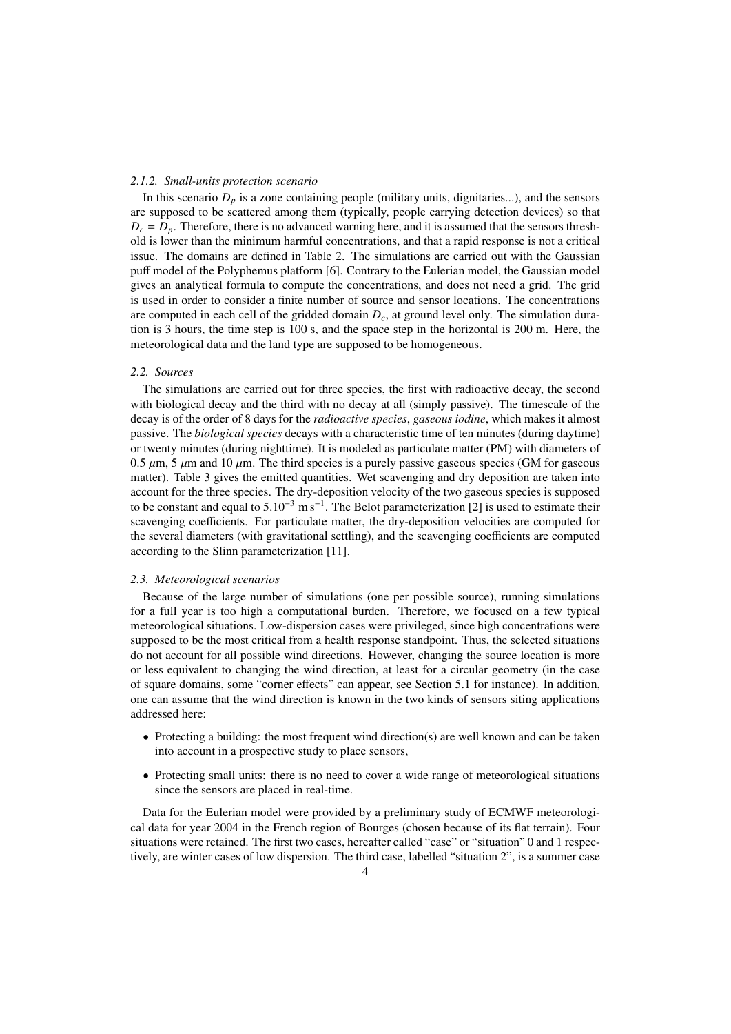#### *2.1.2. Small-units protection scenario*

In this scenario  $D_p$  is a zone containing people (military units, dignitaries...), and the sensors are supposed to be scattered among them (typically, people carrying detection devices) so that  $D_c = D_p$ . Therefore, there is no advanced warning here, and it is assumed that the sensors threshold is lower than the minimum harmful concentrations, and that a rapid response is not a critical issue. The domains are defined in Table 2. The simulations are carried out with the Gaussian puff model of the Polyphemus platform [6]. Contrary to the Eulerian model, the Gaussian model gives an analytical formula to compute the concentrations, and does not need a grid. The grid is used in order to consider a finite number of source and sensor locations. The concentrations are computed in each cell of the gridded domain *Dc*, at ground level only. The simulation duration is 3 hours, the time step is 100 s, and the space step in the horizontal is 200 m. Here, the meteorological data and the land type are supposed to be homogeneous.

# *2.2. Sources*

The simulations are carried out for three species, the first with radioactive decay, the second with biological decay and the third with no decay at all (simply passive). The timescale of the decay is of the order of 8 days for the *radioactive species*, *gaseous iodine*, which makes it almost passive. The *biological species* decays with a characteristic time of ten minutes (during daytime) or twenty minutes (during nighttime). It is modeled as particulate matter (PM) with diameters of 0.5  $\mu$ m, 5  $\mu$ m and 10  $\mu$ m. The third species is a purely passive gaseous species (GM for gaseous matter). Table 3 gives the emitted quantities. Wet scavenging and dry deposition are taken into account for the three species. The dry-deposition velocity of the two gaseous species is supposed to be constant and equal to  $5.10^{-3}$  m s<sup>-1</sup>. The Belot parameterization [2] is used to estimate their scavenging coefficients. For particulate matter, the dry-deposition velocities are computed for the several diameters (with gravitational settling), and the scavenging coefficients are computed according to the Slinn parameterization [11].

## *2.3. Meteorological scenarios*

Because of the large number of simulations (one per possible source), running simulations for a full year is too high a computational burden. Therefore, we focused on a few typical meteorological situations. Low-dispersion cases were privileged, since high concentrations were supposed to be the most critical from a health response standpoint. Thus, the selected situations do not account for all possible wind directions. However, changing the source location is more or less equivalent to changing the wind direction, at least for a circular geometry (in the case of square domains, some "corner effects" can appear, see Section 5.1 for instance). In addition, one can assume that the wind direction is known in the two kinds of sensors siting applications addressed here:

- Protecting a building: the most frequent wind direction(s) are well known and can be taken into account in a prospective study to place sensors,
- Protecting small units: there is no need to cover a wide range of meteorological situations since the sensors are placed in real-time.

Data for the Eulerian model were provided by a preliminary study of ECMWF meteorological data for year 2004 in the French region of Bourges (chosen because of its flat terrain). Four situations were retained. The first two cases, hereafter called "case" or "situation" 0 and 1 respectively, are winter cases of low dispersion. The third case, labelled "situation 2", is a summer case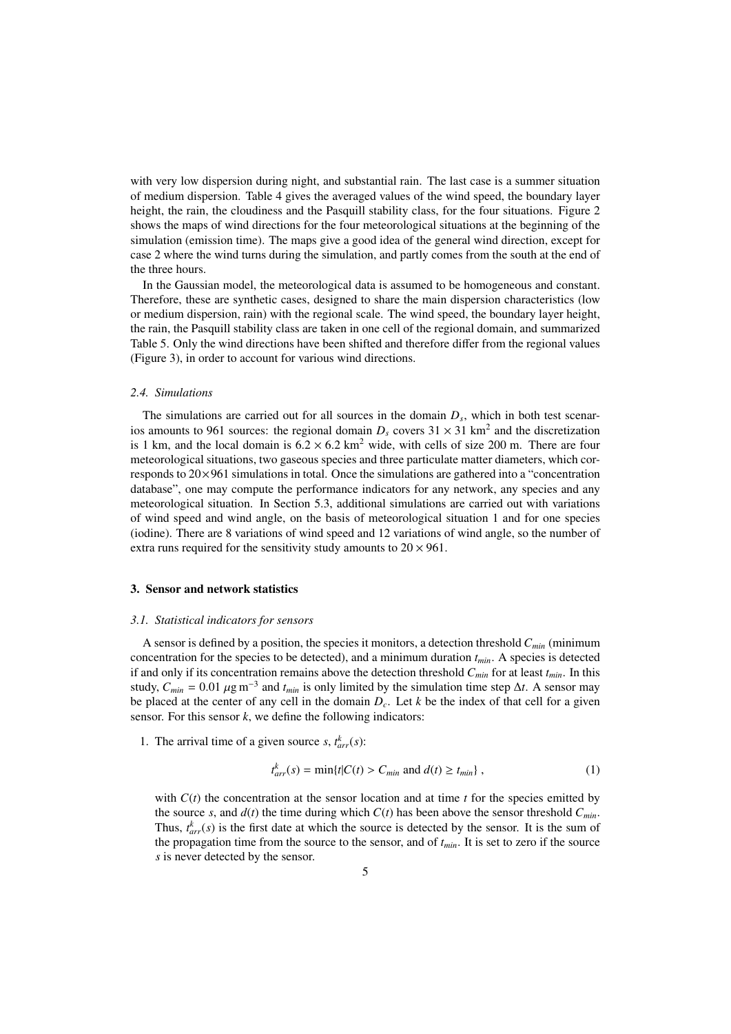with very low dispersion during night, and substantial rain. The last case is a summer situation of medium dispersion. Table 4 gives the averaged values of the wind speed, the boundary layer height, the rain, the cloudiness and the Pasquill stability class, for the four situations. Figure 2 shows the maps of wind directions for the four meteorological situations at the beginning of the simulation (emission time). The maps give a good idea of the general wind direction, except for case 2 where the wind turns during the simulation, and partly comes from the south at the end of the three hours.

In the Gaussian model, the meteorological data is assumed to be homogeneous and constant. Therefore, these are synthetic cases, designed to share the main dispersion characteristics (low or medium dispersion, rain) with the regional scale. The wind speed, the boundary layer height, the rain, the Pasquill stability class are taken in one cell of the regional domain, and summarized Table 5. Only the wind directions have been shifted and therefore differ from the regional values (Figure 3), in order to account for various wind directions.

# *2.4. Simulations*

The simulations are carried out for all sources in the domain  $D_s$ , which in both test scenarios amounts to 961 sources: the regional domain  $D_s$  covers 31  $\times$  31 km<sup>2</sup> and the discretization is 1 km, and the local domain is  $6.2 \times 6.2$  km<sup>2</sup> wide, with cells of size 200 m. There are four meteorological situations, two gaseous species and three particulate matter diameters, which corresponds to 20×961 simulations in total. Once the simulations are gathered into a "concentration database", one may compute the performance indicators for any network, any species and any meteorological situation. In Section 5.3, additional simulations are carried out with variations of wind speed and wind angle, on the basis of meteorological situation 1 and for one species (iodine). There are 8 variations of wind speed and 12 variations of wind angle, so the number of extra runs required for the sensitivity study amounts to  $20 \times 961$ .

## 3. Sensor and network statistics

#### *3.1. Statistical indicators for sensors*

A sensor is defined by a position, the species it monitors, a detection threshold *Cmin* (minimum concentration for the species to be detected), and a minimum duration *tmin*. A species is detected if and only if its concentration remains above the detection threshold  $C_{min}$  for at least  $t_{min}$ . In this study,  $C_{min} = 0.01 \ \mu g \ m^{-3}$  and  $t_{min}$  is only limited by the simulation time step  $\Delta t$ . A sensor may be placed at the center of any cell in the domain  $D_c$ . Let  $k$  be the index of that cell for a given sensor. For this sensor  $k$ , we define the following indicators:

1. The arrival time of a given source *s*,  $t_{arr}^k(s)$ :

$$
tkarr(s) = \min\{t | C(t) > C_{min} \text{ and } d(t) \ge t_{min}\},\tag{1}
$$

with  $C(t)$  the concentration at the sensor location and at time  $t$  for the species emitted by the source *s*, and  $d(t)$  the time during which  $C(t)$  has been above the sensor threshold  $C_{min}$ . Thus,  $t<sub>arr</sub><sup>k</sup>(s)$  is the first date at which the source is detected by the sensor. It is the sum of the propagation time from the source to the sensor, and of *tmin*. It is set to zero if the source *s* is never detected by the sensor.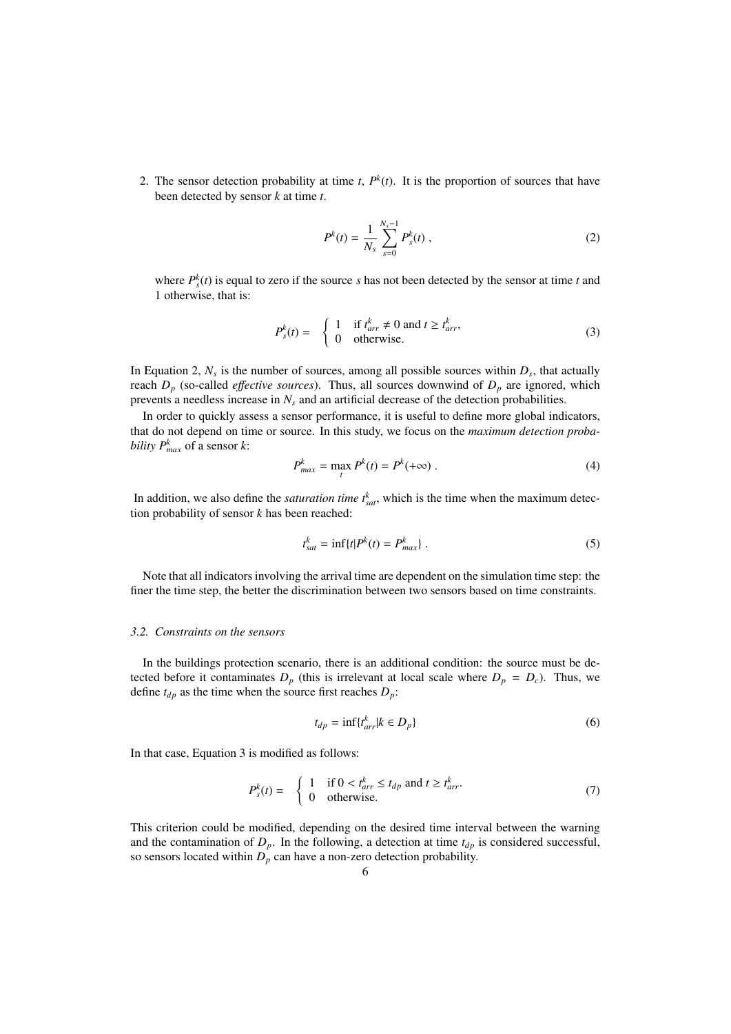2. The sensor detection probability at time *t*,  $P^k(t)$ . It is the proportion of sources that have been detected by sensor *k* at time *t*.

$$
P^{k}(t) = \frac{1}{N_{s}} \sum_{s=0}^{N_{s}-1} P_{s}^{k}(t) ,
$$
 (2)

where  $P_s^k(t)$  is equal to zero if the source *s* has not been detected by the sensor at time *t* and 1 otherwise, that is:

$$
P_s^k(t) = \begin{cases} 1 & \text{if } t_{arr}^k \neq 0 \text{ and } t \ge t_{arr}^k, \\ 0 & \text{otherwise.} \end{cases}
$$
 (3)

In Equation 2,  $N_s$  is the number of sources, among all possible sources within  $D_s$ , that actually reach  $D_p$  (so-called *effective sources*). Thus, all sources downwind of  $D_p$  are ignored, which prevents a needless increase in *N<sup>s</sup>* and an artificial decrease of the detection probabilities.

In order to quickly assess a sensor performance, it is useful to define more global indicators, that do not depend on time or source. In this study, we focus on the *maximum detection probability*  $P_{max}^k$  of a sensor *k*:

$$
P_{max}^k = \max_t P^k(t) = P^k(+\infty) \tag{4}
$$

In addition, we also define the *saturation time*  $t_{sat}^k$ , which is the time when the maximum detection probability of sensor *k* has been reached:

$$
t_{sat}^k = \inf\{t|P^k(t) = P^k_{max}\}\,. \tag{5}
$$

Note that all indicators involving the arrival time are dependent on the simulation time step: the finer the time step, the better the discrimination between two sensors based on time constraints.

# *3.2. Constraints on the sensors*

In the buildings protection scenario, there is an additional condition: the source must be detected before it contaminates  $D_p$  (this is irrelevant at local scale where  $D_p = D_c$ ). Thus, we define  $t_{dp}$  as the time when the source first reaches  $D_p$ :

$$
t_{dp} = \inf \{ t_{arr}^k | k \in D_p \} \tag{6}
$$

In that case, Equation 3 is modified as follows:

$$
P_s^k(t) = \begin{cases} 1 & \text{if } 0 < t_{arr}^k \le t_{dp} \text{ and } t \ge t_{arr}^k. \\ 0 & \text{otherwise.} \end{cases} \tag{7}
$$

This criterion could be modified, depending on the desired time interval between the warning and the contamination of  $D_p$ . In the following, a detection at time  $t_{dp}$  is considered successful, so sensors located within  $D_p$  can have a non-zero detection probability.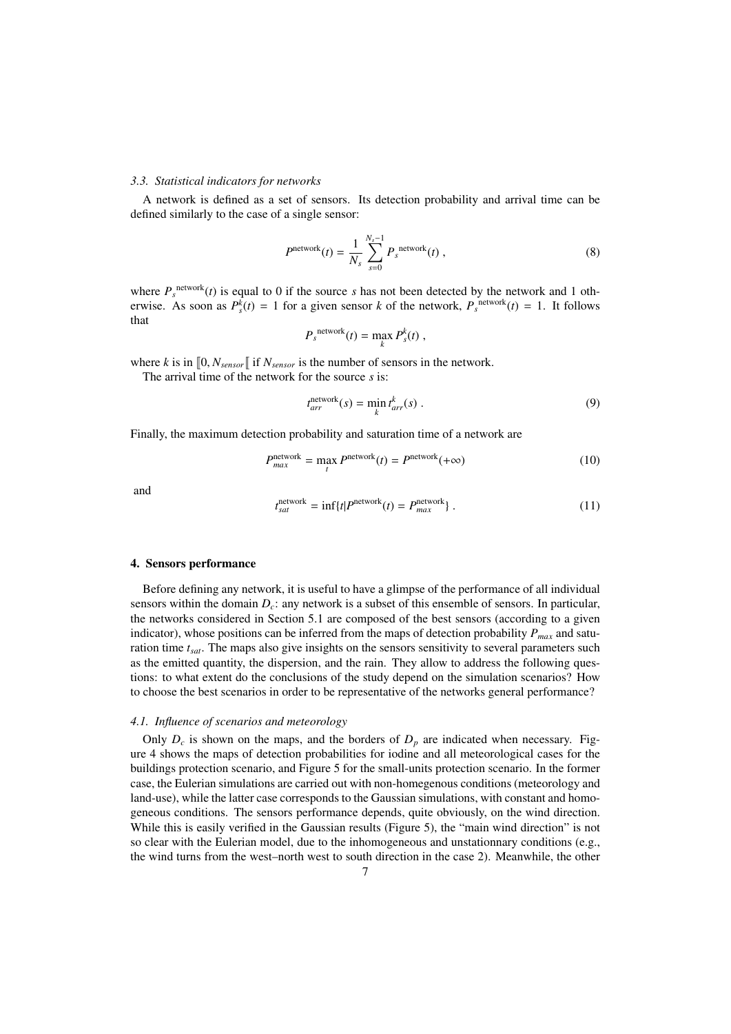#### *3.3. Statistical indicators for networks*

A network is defined as a set of sensors. Its detection probability and arrival time can be defined similarly to the case of a single sensor:

$$
Pnetwork(t) = \frac{1}{N_s} \sum_{s=0}^{N_s - 1} P_s^{network}(t) ,
$$
 (8)

where  $P_s^{\text{network}}(t)$  is equal to 0 if the source *s* has not been detected by the network and 1 otherwise. As soon as  $P_s^k(t) = 1$  for a given sensor *k* of the network,  $P_s^{\text{network}}(t) = 1$ . It follows that

$$
P_s^{\text{network}}(t) = \max_k P_s^k(t) ,
$$

where *k* is in  $[0, N_{sensor}]$  if  $N_{sensor}$  is the number of sensors in the network.

The arrival time of the network for the source *s* is:

$$
t_{arr}^{\text{network}}(s) = \min_{k} t_{arr}^k(s) \,. \tag{9}
$$

Finally, the maximum detection probability and saturation time of a network are

$$
P_{max}^{\text{network}} = \max_{t} P^{\text{network}}(t) = P^{\text{network}}(+\infty)
$$
 (10)

and

$$
t_{sat}^{\text{network}} = \inf\{t|P^{\text{network}}(t) = P_{max}^{\text{network}}\}.
$$
 (11)

## 4. Sensors performance

Before defining any network, it is useful to have a glimpse of the performance of all individual sensors within the domain *Dc*: any network is a subset of this ensemble of sensors. In particular, the networks considered in Section 5.1 are composed of the best sensors (according to a given indicator), whose positions can be inferred from the maps of detection probability *Pmax* and saturation time *tsat*. The maps also give insights on the sensors sensitivity to several parameters such as the emitted quantity, the dispersion, and the rain. They allow to address the following questions: to what extent do the conclusions of the study depend on the simulation scenarios? How to choose the best scenarios in order to be representative of the networks general performance?

#### *4.1. Influence of scenarios and meteorology*

Only  $D_c$  is shown on the maps, and the borders of  $D_p$  are indicated when necessary. Figure 4 shows the maps of detection probabilities for iodine and all meteorological cases for the buildings protection scenario, and Figure 5 for the small-units protection scenario. In the former case, the Eulerian simulations are carried out with non-homegenous conditions (meteorology and land-use), while the latter case corresponds to the Gaussian simulations, with constant and homogeneous conditions. The sensors performance depends, quite obviously, on the wind direction. While this is easily verified in the Gaussian results (Figure 5), the "main wind direction" is not so clear with the Eulerian model, due to the inhomogeneous and unstationnary conditions (e.g., the wind turns from the west–north west to south direction in the case 2). Meanwhile, the other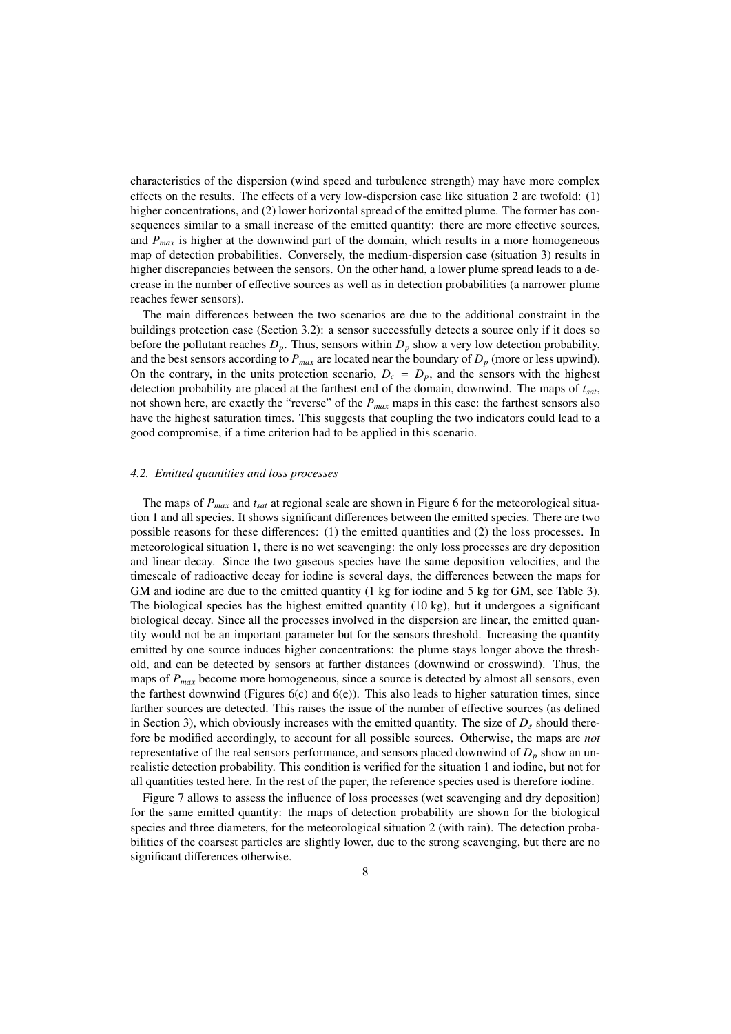characteristics of the dispersion (wind speed and turbulence strength) may have more complex effects on the results. The effects of a very low-dispersion case like situation 2 are twofold: (1) higher concentrations, and (2) lower horizontal spread of the emitted plume. The former has consequences similar to a small increase of the emitted quantity: there are more effective sources, and  $P_{max}$  is higher at the downwind part of the domain, which results in a more homogeneous map of detection probabilities. Conversely, the medium-dispersion case (situation 3) results in higher discrepancies between the sensors. On the other hand, a lower plume spread leads to a decrease in the number of effective sources as well as in detection probabilities (a narrower plume reaches fewer sensors).

The main differences between the two scenarios are due to the additional constraint in the buildings protection case (Section 3.2): a sensor successfully detects a source only if it does so before the pollutant reaches  $D_p$ . Thus, sensors within  $D_p$  show a very low detection probability, and the best sensors according to  $P_{max}$  are located near the boundary of  $D_p$  (more or less upwind). On the contrary, in the units protection scenario,  $D_c = D_p$ , and the sensors with the highest detection probability are placed at the farthest end of the domain, downwind. The maps of *tsat*, not shown here, are exactly the "reverse" of the *Pmax* maps in this case: the farthest sensors also have the highest saturation times. This suggests that coupling the two indicators could lead to a good compromise, if a time criterion had to be applied in this scenario.

# *4.2. Emitted quantities and loss processes*

The maps of *Pmax* and *tsat* at regional scale are shown in Figure 6 for the meteorological situation 1 and all species. It shows significant differences between the emitted species. There are two possible reasons for these differences: (1) the emitted quantities and (2) the loss processes. In meteorological situation 1, there is no wet scavenging: the only loss processes are dry deposition and linear decay. Since the two gaseous species have the same deposition velocities, and the timescale of radioactive decay for iodine is several days, the differences between the maps for GM and iodine are due to the emitted quantity (1 kg for iodine and 5 kg for GM, see Table 3). The biological species has the highest emitted quantity (10 kg), but it undergoes a significant biological decay. Since all the processes involved in the dispersion are linear, the emitted quantity would not be an important parameter but for the sensors threshold. Increasing the quantity emitted by one source induces higher concentrations: the plume stays longer above the threshold, and can be detected by sensors at farther distances (downwind or crosswind). Thus, the maps of *Pmax* become more homogeneous, since a source is detected by almost all sensors, even the farthest downwind (Figures  $6(c)$  and  $6(e)$ ). This also leads to higher saturation times, since farther sources are detected. This raises the issue of the number of effective sources (as defined in Section 3), which obviously increases with the emitted quantity. The size of  $D<sub>s</sub>$  should therefore be modified accordingly, to account for all possible sources. Otherwise, the maps are *not* representative of the real sensors performance, and sensors placed downwind of  $D<sub>p</sub>$  show an unrealistic detection probability. This condition is verified for the situation 1 and iodine, but not for all quantities tested here. In the rest of the paper, the reference species used is therefore iodine.

Figure 7 allows to assess the influence of loss processes (wet scavenging and dry deposition) for the same emitted quantity: the maps of detection probability are shown for the biological species and three diameters, for the meteorological situation 2 (with rain). The detection probabilities of the coarsest particles are slightly lower, due to the strong scavenging, but there are no significant differences otherwise.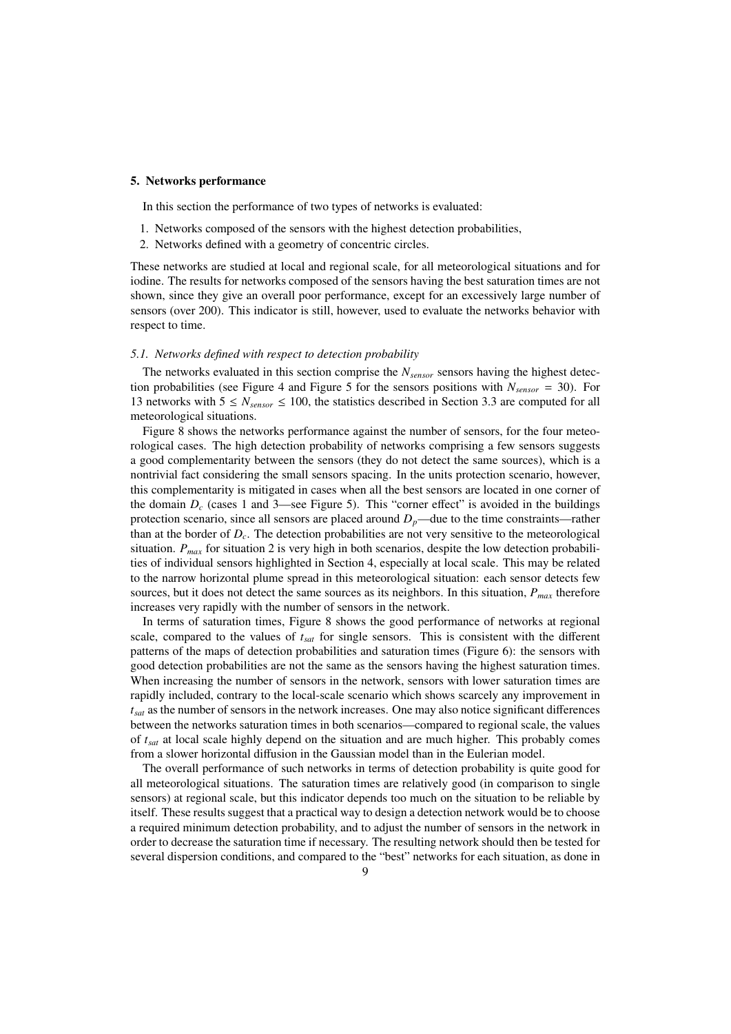## 5. Networks performance

In this section the performance of two types of networks is evaluated:

- 1. Networks composed of the sensors with the highest detection probabilities,
- 2. Networks defined with a geometry of concentric circles.

These networks are studied at local and regional scale, for all meteorological situations and for iodine. The results for networks composed of the sensors having the best saturation times are not shown, since they give an overall poor performance, except for an excessively large number of sensors (over 200). This indicator is still, however, used to evaluate the networks behavior with respect to time.

# *5.1. Networks defined with respect to detection probability*

The networks evaluated in this section comprise the *Nsensor* sensors having the highest detection probabilities (see Figure 4 and Figure 5 for the sensors positions with *Nsensor* = 30). For 13 networks with  $5 \leq N_{sensor} \leq 100$ , the statistics described in Section 3.3 are computed for all meteorological situations.

Figure 8 shows the networks performance against the number of sensors, for the four meteorological cases. The high detection probability of networks comprising a few sensors suggests a good complementarity between the sensors (they do not detect the same sources), which is a nontrivial fact considering the small sensors spacing. In the units protection scenario, however, this complementarity is mitigated in cases when all the best sensors are located in one corner of the domain  $D_c$  (cases 1 and 3—see Figure 5). This "corner effect" is avoided in the buildings protection scenario, since all sensors are placed around  $D_p$ —due to the time constraints—rather than at the border of *Dc*. The detection probabilities are not very sensitive to the meteorological situation. *Pmax* for situation 2 is very high in both scenarios, despite the low detection probabilities of individual sensors highlighted in Section 4, especially at local scale. This may be related to the narrow horizontal plume spread in this meteorological situation: each sensor detects few sources, but it does not detect the same sources as its neighbors. In this situation,  $P_{max}$  therefore increases very rapidly with the number of sensors in the network.

In terms of saturation times, Figure 8 shows the good performance of networks at regional scale, compared to the values of *tsat* for single sensors. This is consistent with the different patterns of the maps of detection probabilities and saturation times (Figure 6): the sensors with good detection probabilities are not the same as the sensors having the highest saturation times. When increasing the number of sensors in the network, sensors with lower saturation times are rapidly included, contrary to the local-scale scenario which shows scarcely any improvement in *tsat* as the number of sensors in the network increases. One may also notice significant differences between the networks saturation times in both scenarios—compared to regional scale, the values of *tsat* at local scale highly depend on the situation and are much higher. This probably comes from a slower horizontal diffusion in the Gaussian model than in the Eulerian model.

The overall performance of such networks in terms of detection probability is quite good for all meteorological situations. The saturation times are relatively good (in comparison to single sensors) at regional scale, but this indicator depends too much on the situation to be reliable by itself. These results suggest that a practical way to design a detection network would be to choose a required minimum detection probability, and to adjust the number of sensors in the network in order to decrease the saturation time if necessary. The resulting network should then be tested for several dispersion conditions, and compared to the "best" networks for each situation, as done in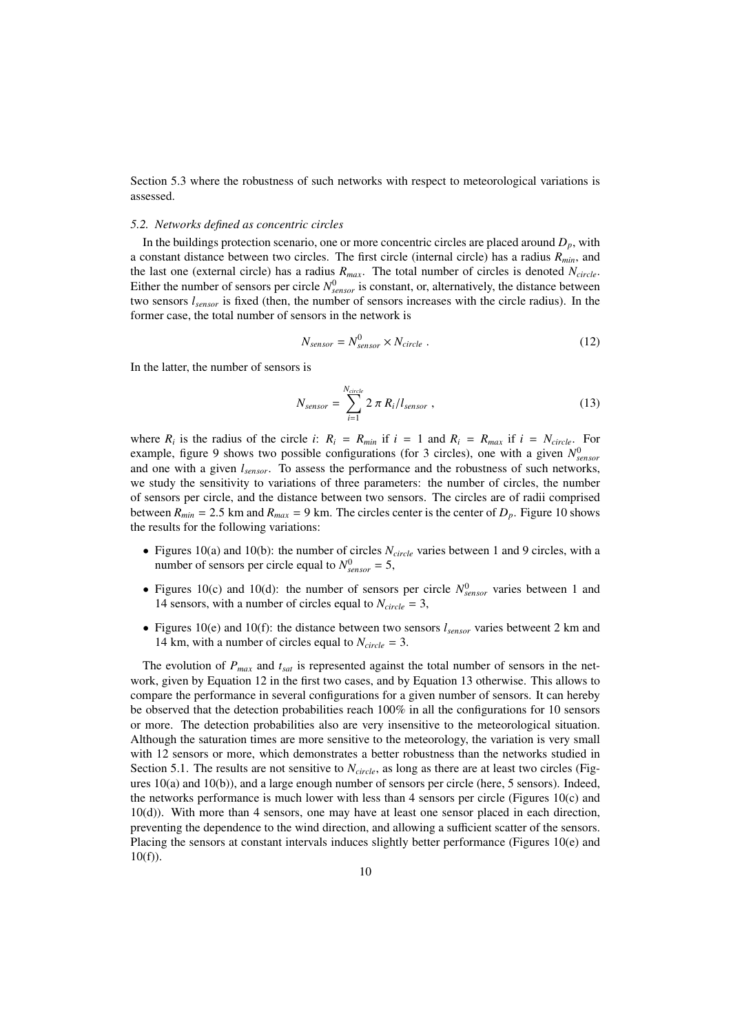Section 5.3 where the robustness of such networks with respect to meteorological variations is assessed.

# *5.2. Networks defined as concentric circles*

In the buildings protection scenario, one or more concentric circles are placed around  $D_p$ , with a constant distance between two circles. The first circle (internal circle) has a radius *Rmin*, and the last one (external circle) has a radius *Rmax*. The total number of circles is denoted *Ncircle*. Either the number of sensors per circle  $N_{sensor}^0$  is constant, or, alternatively, the distance between two sensors *lsensor* is fixed (then, the number of sensors increases with the circle radius). In the former case, the total number of sensors in the network is

$$
N_{sensor} = N_{sensor}^0 \times N_{circle} . \tag{12}
$$

In the latter, the number of sensors is

$$
N_{sensor} = \sum_{i=1}^{N_{circle}} 2 \pi R_i / l_{sensor} , \qquad (13)
$$

where  $R_i$  is the radius of the circle *i*:  $R_i = R_{min}$  if  $i = 1$  and  $R_i = R_{max}$  if  $i = N_{circle}$ . For example, figure 9 shows two possible configurations (for 3 circles), one with a given  $N_{senson}^0$ and one with a given *lsensor*. To assess the performance and the robustness of such networks, we study the sensitivity to variations of three parameters: the number of circles, the number of sensors per circle, and the distance between two sensors. The circles are of radii comprised between  $R_{min} = 2.5$  km and  $R_{max} = 9$  km. The circles center is the center of  $D_p$ . Figure 10 shows the results for the following variations:

- Figures 10(a) and 10(b): the number of circles *Ncircle* varies between 1 and 9 circles, with a number of sensors per circle equal to  $N_{sensor}^0 = 5$ ,
- Figures 10(c) and 10(d): the number of sensors per circle  $N_{sensor}^0$  varies between 1 and 14 sensors, with a number of circles equal to  $N_{circle} = 3$ ,
- Figures 10(e) and 10(f): the distance between two sensors *lsensor* varies betweent 2 km and 14 km, with a number of circles equal to  $N_{circle} = 3$ .

The evolution of *Pmax* and *tsat* is represented against the total number of sensors in the network, given by Equation 12 in the first two cases, and by Equation 13 otherwise. This allows to compare the performance in several configurations for a given number of sensors. It can hereby be observed that the detection probabilities reach 100% in all the configurations for 10 sensors or more. The detection probabilities also are very insensitive to the meteorological situation. Although the saturation times are more sensitive to the meteorology, the variation is very small with 12 sensors or more, which demonstrates a better robustness than the networks studied in Section 5.1. The results are not sensitive to *Ncircle*, as long as there are at least two circles (Figures 10(a) and 10(b)), and a large enough number of sensors per circle (here, 5 sensors). Indeed, the networks performance is much lower with less than 4 sensors per circle (Figures  $10(c)$  and 10(d)). With more than 4 sensors, one may have at least one sensor placed in each direction, preventing the dependence to the wind direction, and allowing a sufficient scatter of the sensors. Placing the sensors at constant intervals induces slightly better performance (Figures 10(e) and  $10(f)$ ).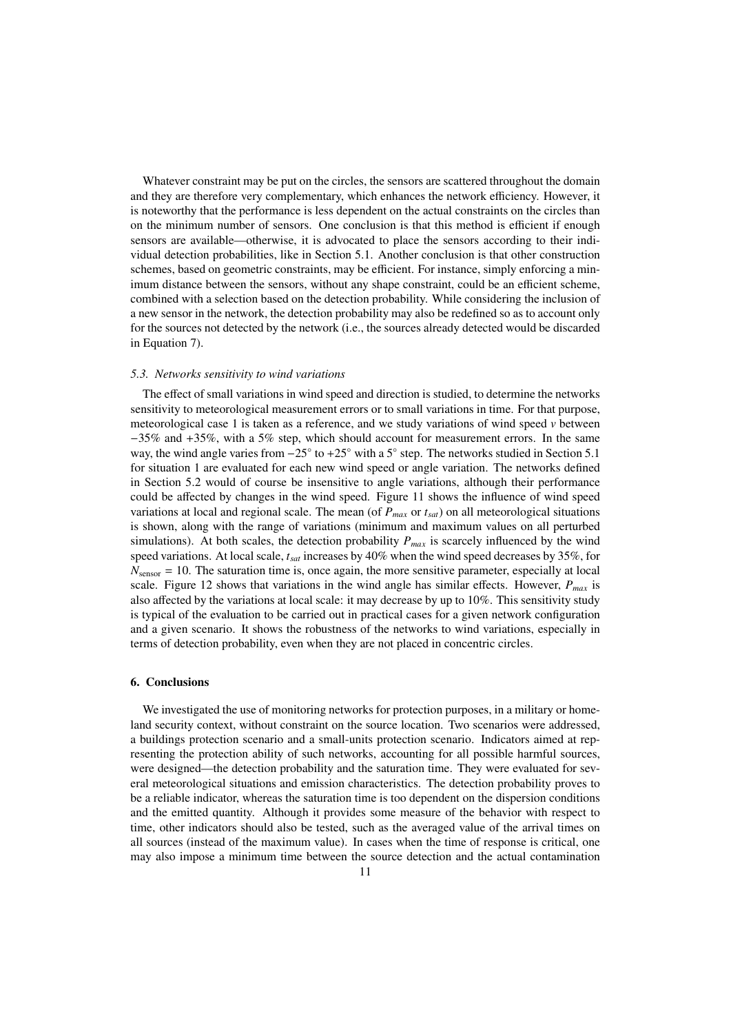Whatever constraint may be put on the circles, the sensors are scattered throughout the domain and they are therefore very complementary, which enhances the network efficiency. However, it is noteworthy that the performance is less dependent on the actual constraints on the circles than on the minimum number of sensors. One conclusion is that this method is efficient if enough sensors are available—otherwise, it is advocated to place the sensors according to their individual detection probabilities, like in Section 5.1. Another conclusion is that other construction schemes, based on geometric constraints, may be efficient. For instance, simply enforcing a minimum distance between the sensors, without any shape constraint, could be an efficient scheme, combined with a selection based on the detection probability. While considering the inclusion of a new sensor in the network, the detection probability may also be redefined so as to account only for the sources not detected by the network (i.e., the sources already detected would be discarded in Equation 7).

## *5.3. Networks sensitivity to wind variations*

The effect of small variations in wind speed and direction is studied, to determine the networks sensitivity to meteorological measurement errors or to small variations in time. For that purpose, meteorological case 1 is taken as a reference, and we study variations of wind speed  $\nu$  between −35% and +35%, with a 5% step, which should account for measurement errors. In the same way, the wind angle varies from  $-25°$  to  $+25°$  with a 5° step. The networks studied in Section 5.1 for situation 1 are evaluated for each new wind speed or angle variation. The networks defined in Section 5.2 would of course be insensitive to angle variations, although their performance could be affected by changes in the wind speed. Figure 11 shows the influence of wind speed variations at local and regional scale. The mean (of *Pmax* or *tsat*) on all meteorological situations is shown, along with the range of variations (minimum and maximum values on all perturbed simulations). At both scales, the detection probability  $P_{max}$  is scarcely influenced by the wind speed variations. At local scale, *tsat* increases by 40% when the wind speed decreases by 35%, for  $N_{\text{sensor}} = 10$ . The saturation time is, once again, the more sensitive parameter, especially at local scale. Figure 12 shows that variations in the wind angle has similar effects. However,  $P_{max}$  is also affected by the variations at local scale: it may decrease by up to 10%. This sensitivity study is typical of the evaluation to be carried out in practical cases for a given network configuration and a given scenario. It shows the robustness of the networks to wind variations, especially in terms of detection probability, even when they are not placed in concentric circles.

## 6. Conclusions

We investigated the use of monitoring networks for protection purposes, in a military or homeland security context, without constraint on the source location. Two scenarios were addressed, a buildings protection scenario and a small-units protection scenario. Indicators aimed at representing the protection ability of such networks, accounting for all possible harmful sources, were designed—the detection probability and the saturation time. They were evaluated for several meteorological situations and emission characteristics. The detection probability proves to be a reliable indicator, whereas the saturation time is too dependent on the dispersion conditions and the emitted quantity. Although it provides some measure of the behavior with respect to time, other indicators should also be tested, such as the averaged value of the arrival times on all sources (instead of the maximum value). In cases when the time of response is critical, one may also impose a minimum time between the source detection and the actual contamination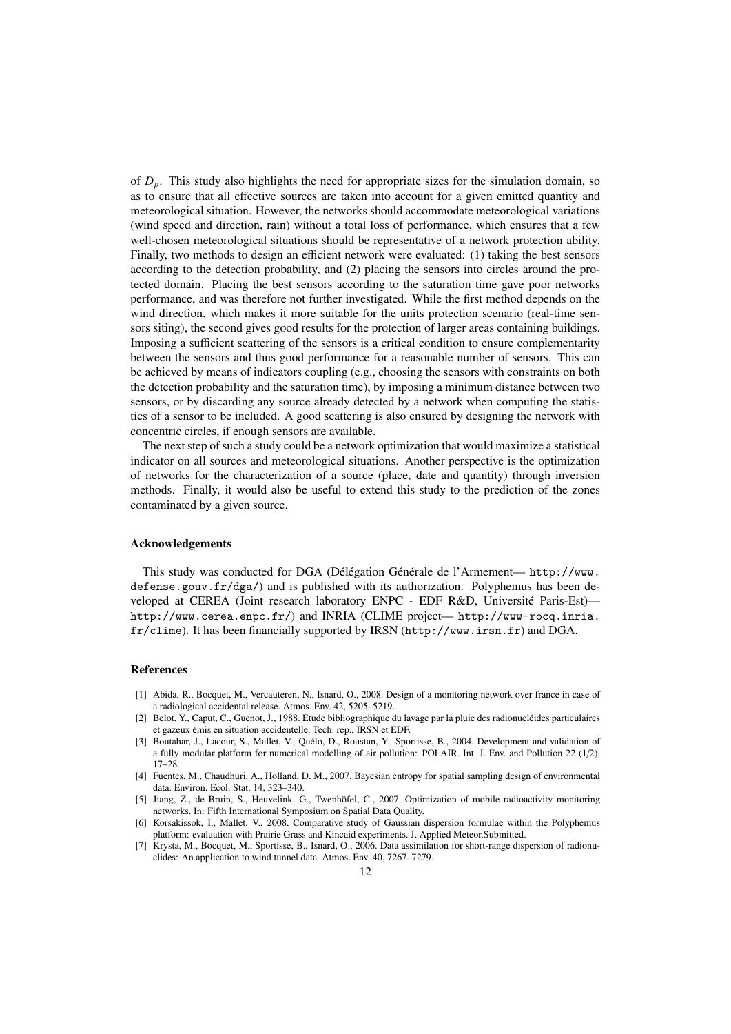of  $D_p$ . This study also highlights the need for appropriate sizes for the simulation domain, so as to ensure that all effective sources are taken into account for a given emitted quantity and meteorological situation. However, the networks should accommodate meteorological variations (wind speed and direction, rain) without a total loss of performance, which ensures that a few well-chosen meteorological situations should be representative of a network protection ability. Finally, two methods to design an efficient network were evaluated: (1) taking the best sensors according to the detection probability, and (2) placing the sensors into circles around the protected domain. Placing the best sensors according to the saturation time gave poor networks performance, and was therefore not further investigated. While the first method depends on the wind direction, which makes it more suitable for the units protection scenario (real-time sensors siting), the second gives good results for the protection of larger areas containing buildings. Imposing a sufficient scattering of the sensors is a critical condition to ensure complementarity between the sensors and thus good performance for a reasonable number of sensors. This can be achieved by means of indicators coupling (e.g., choosing the sensors with constraints on both the detection probability and the saturation time), by imposing a minimum distance between two sensors, or by discarding any source already detected by a network when computing the statistics of a sensor to be included. A good scattering is also ensured by designing the network with concentric circles, if enough sensors are available.

The next step of such a study could be a network optimization that would maximize a statistical indicator on all sources and meteorological situations. Another perspective is the optimization of networks for the characterization of a source (place, date and quantity) through inversion methods. Finally, it would also be useful to extend this study to the prediction of the zones contaminated by a given source.

# Acknowledgements

This study was conducted for DGA (Délégation Générale de l'Armement— http://www. defense.gouv.fr/dga/) and is published with its authorization. Polyphemus has been developed at CEREA (Joint research laboratory ENPC - EDF R&D, Université Paris-Est) http://www.cerea.enpc.fr/) and INRIA (CLIME project— http://www-rocq.inria. fr/clime). It has been financially supported by IRSN (http://www.irsn.fr) and DGA.

# References

- [1] Abida, R., Bocquet, M., Vercauteren, N., Isnard, O., 2008. Design of a monitoring network over france in case of a radiological accidental release. Atmos. Env. 42, 5205–5219.
- [2] Belot, Y., Caput, C., Guenot, J., 1988. Etude bibliographique du lavage par la pluie des radionucleides particulaires ´ et gazeux émis en situation accidentelle. Tech. rep., IRSN et EDF.
- [3] Boutahar, J., Lacour, S., Mallet, V., Quelo, D., Roustan, Y., Sportisse, B., 2004. Development and validation of ´ a fully modular platform for numerical modelling of air pollution: POLAIR. Int. J. Env. and Pollution 22 (1/2), 17–28.
- [4] Fuentes, M., Chaudhuri, A., Holland, D. M., 2007. Bayesian entropy for spatial sampling design of environmental data. Environ. Ecol. Stat. 14, 323–340.
- [5] Jiang, Z., de Bruin, S., Heuvelink, G., Twenhofel, C., 2007. Optimization of mobile radioactivity monitoring networks. In: Fifth International Symposium on Spatial Data Quality.
- [6] Korsakissok, I., Mallet, V., 2008. Comparative study of Gaussian dispersion formulae within the Polyphemus platform: evaluation with Prairie Grass and Kincaid experiments. J. Applied Meteor.Submitted.
- [7] Krysta, M., Bocquet, M., Sportisse, B., Isnard, O., 2006. Data assimilation for short-range dispersion of radionuclides: An application to wind tunnel data. Atmos. Env. 40, 7267–7279.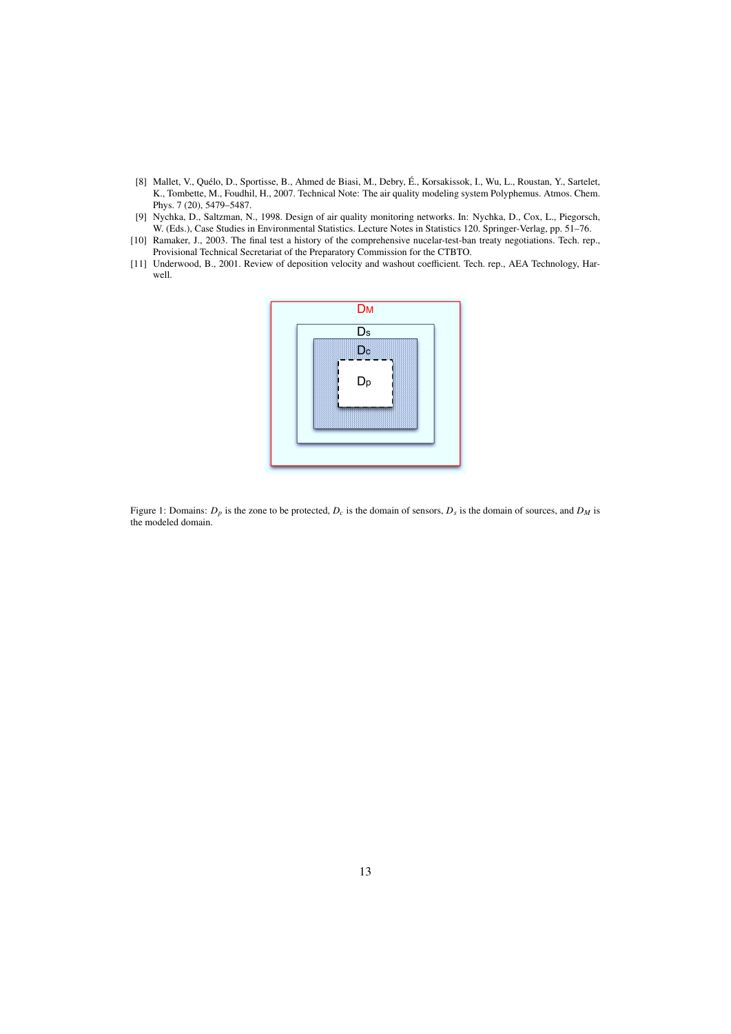- [8] Mallet, V., Quélo, D., Sportisse, B., Ahmed de Biasi, M., Debry, É., Korsakissok, I., Wu, L., Roustan, Y., Sartelet, K., Tombette, M., Foudhil, H., 2007. Technical Note: The air quality modeling system Polyphemus. Atmos. Chem. Phys. 7 (20), 5479–5487.
- [9] Nychka, D., Saltzman, N., 1998. Design of air quality monitoring networks. In: Nychka, D., Cox, L., Piegorsch, W. (Eds.), Case Studies in Environmental Statistics. Lecture Notes in Statistics 120. Springer-Verlag, pp. 51–76.
- [10] Ramaker, J., 2003. The final test a history of the comprehensive nucelar-test-ban treaty negotiations. Tech. rep., Provisional Technical Secretariat of the Preparatory Commission for the CTBTO.
- [11] Underwood, B., 2001. Review of deposition velocity and washout coefficient. Tech. rep., AEA Technology, Harwell.



Figure 1: Domains:  $D_p$  is the zone to be protected,  $D_c$  is the domain of sensors,  $D_s$  is the domain of sources, and  $D_M$  is the modeled domain.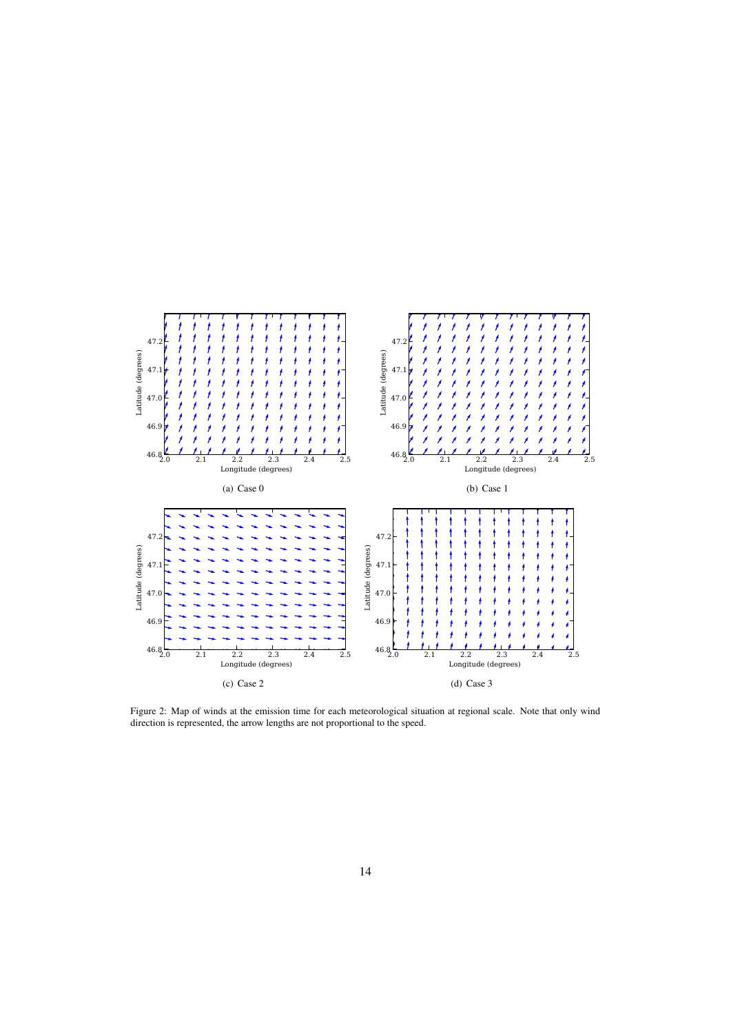

Figure 2: Map of winds at the emission time for each meteorological situation at regional scale. Note that only wind direction is represented, the arrow lengths are not proportional to the speed.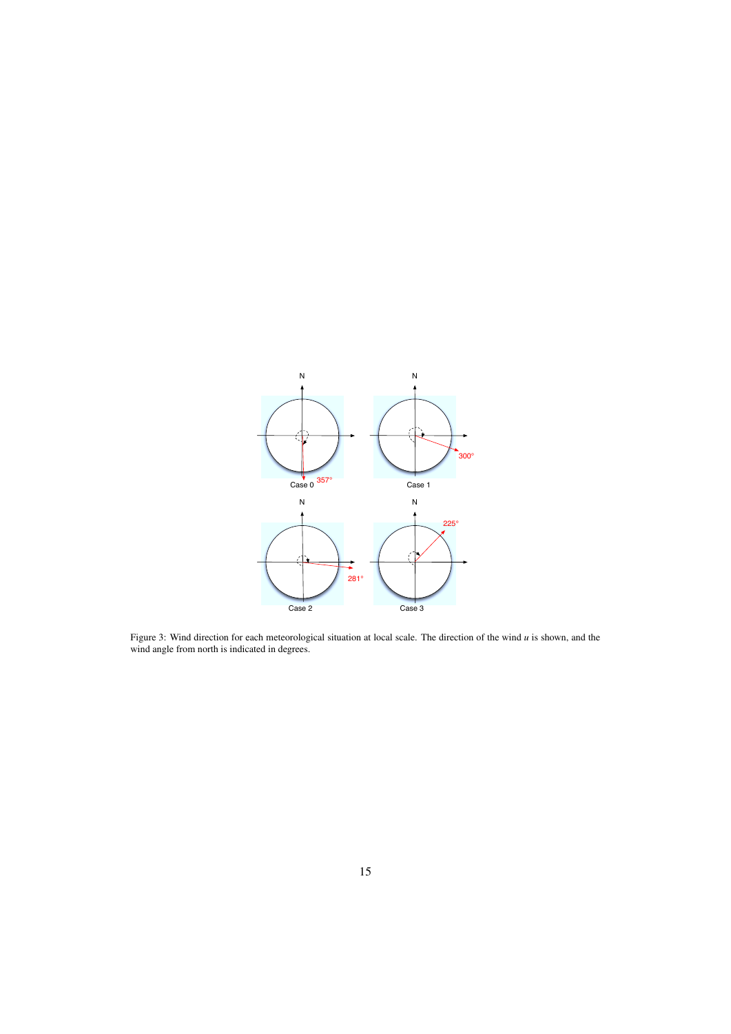

Figure 3: Wind direction for each meteorological situation at local scale. The direction of the wind *u* is shown, and the wind angle from north is indicated in degrees.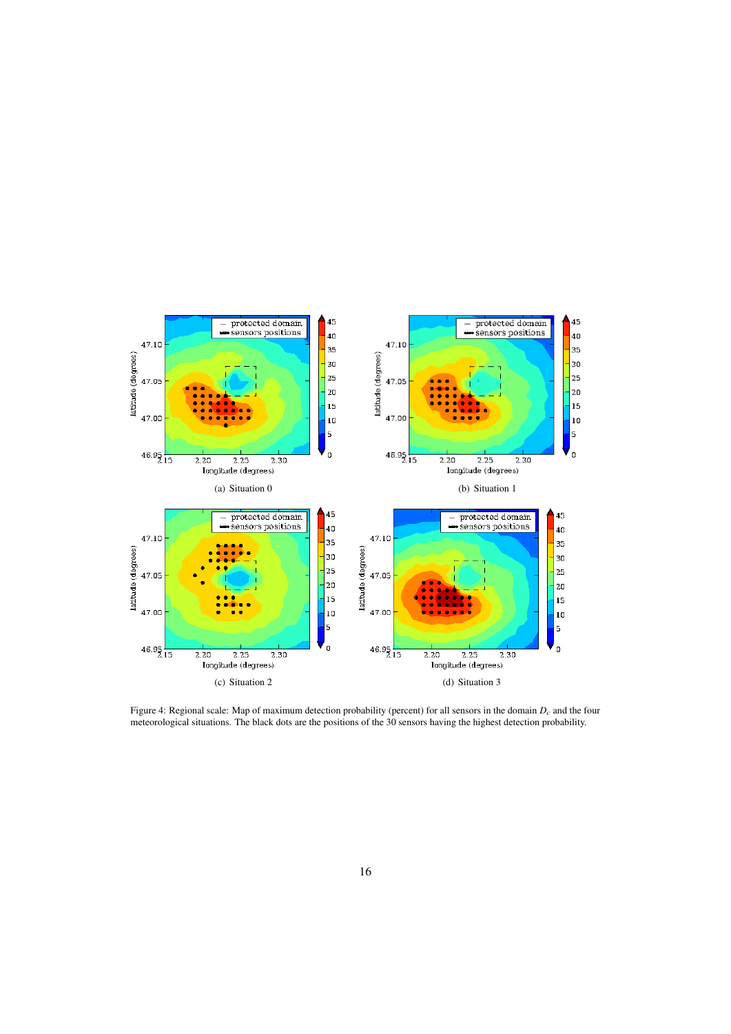

Figure 4: Regional scale: Map of maximum detection probability (percent) for all sensors in the domain *D<sup>c</sup>* and the four meteorological situations. The black dots are the positions of the 30 sensors having the highest detection probability.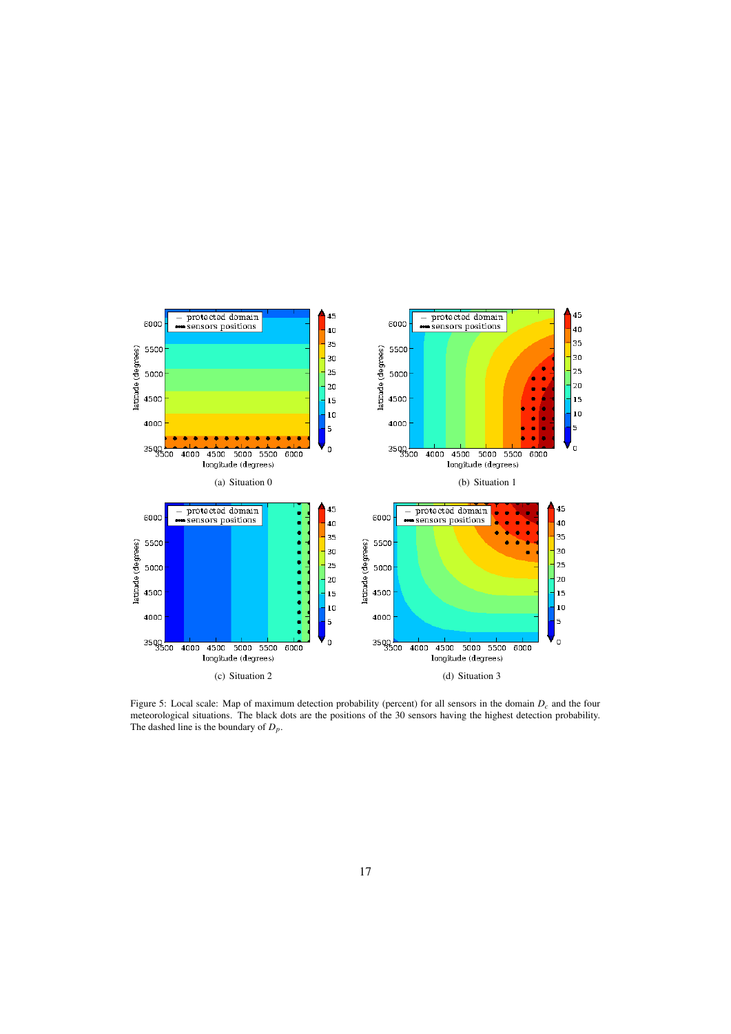

Figure 5: Local scale: Map of maximum detection probability (percent) for all sensors in the domain *D<sup>c</sup>* and the four meteorological situations. The black dots are the positions of the 30 sensors having the highest detection probability. The dashed line is the boundary of *Dp*.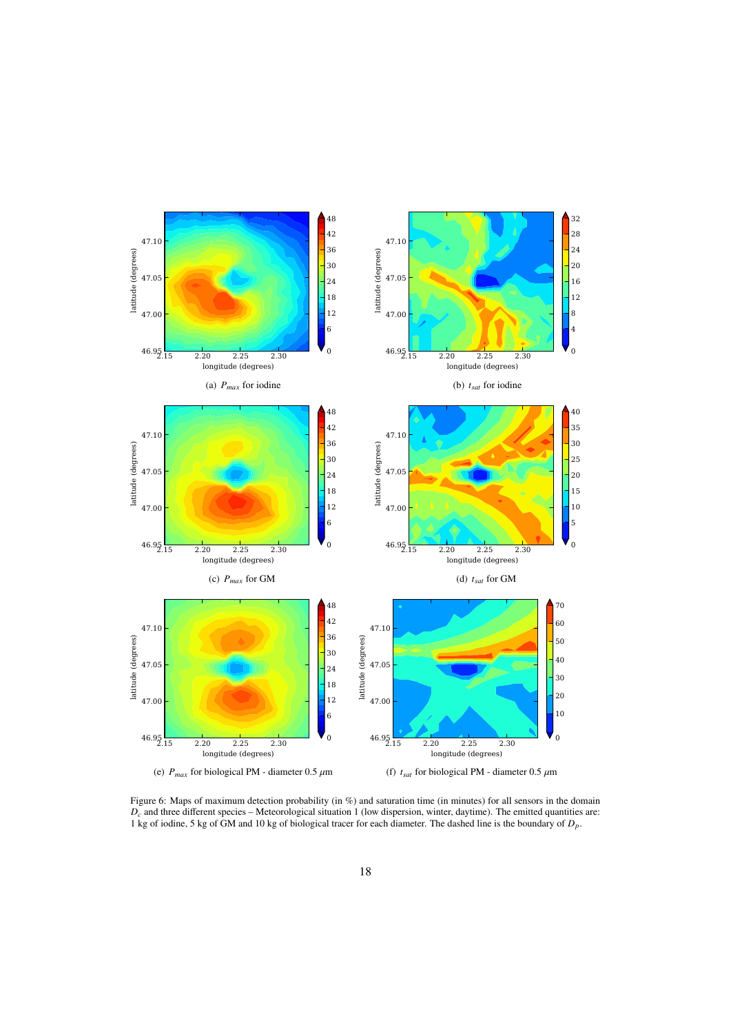

Figure 6: Maps of maximum detection probability (in %) and saturation time (in minutes) for all sensors in the domain  $D_c$  and three different species – Meteorological situation 1 (low dispersion, winter, daytime). The emitted quantities are: 1 kg of iodine, 5 kg of GM and 10 kg of biological tracer for each diameter. The dashed line is the boundary of *Dp*.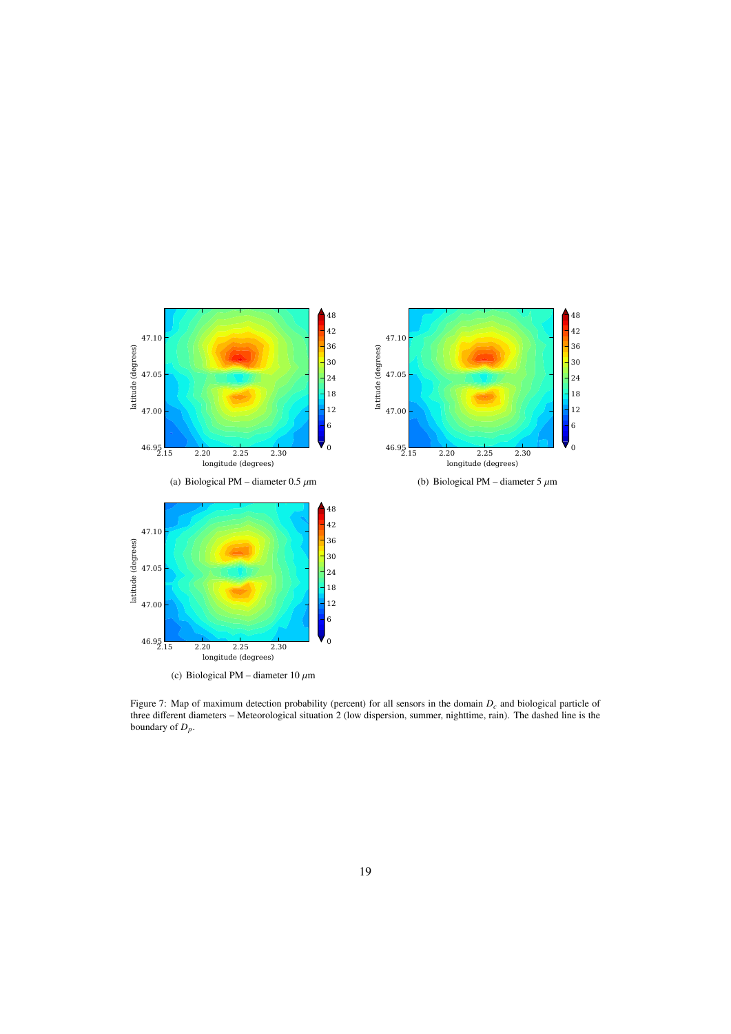

Figure 7: Map of maximum detection probability (percent) for all sensors in the domain *D<sup>c</sup>* and biological particle of three different diameters – Meteorological situation 2 (low dispersion, summer, nighttime, rain). The dashed line is the boundary of  $D_p$ .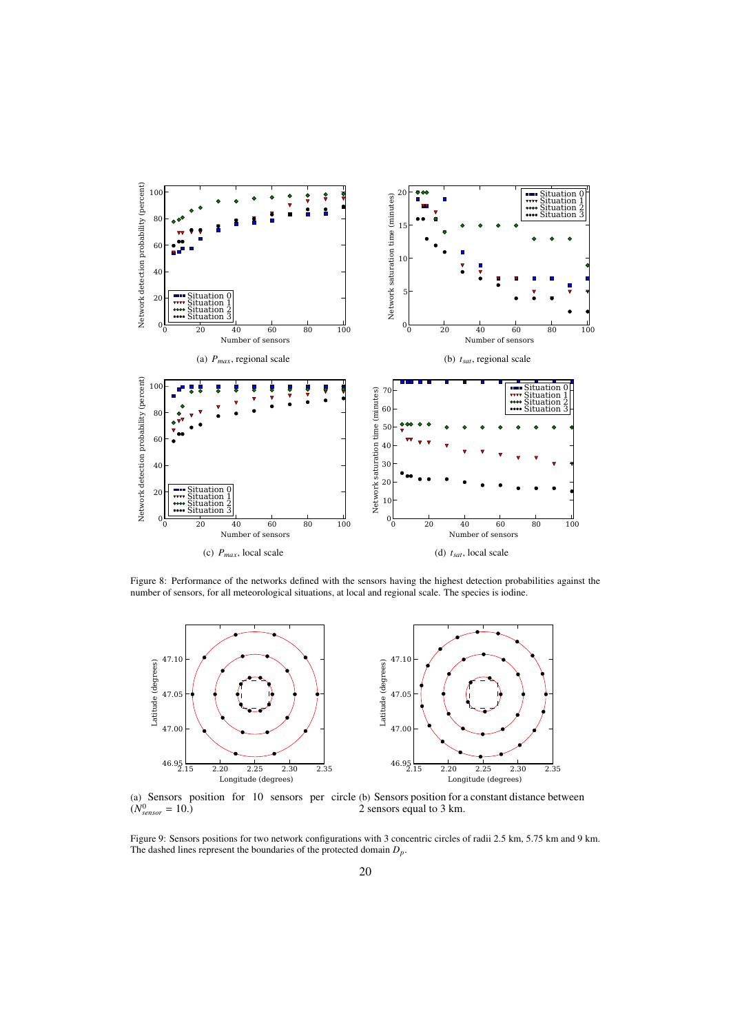

Figure 8: Performance of the networks defined with the sensors having the highest detection probabilities against the number of sensors, for all meteorological situations, at local and regional scale. The species is iodine.



(a) Sensors position for 10 sensors per circle  $(N_{sensor}^0 = 10.)$ (b) Sensors position for a constant distance between 2 sensors equal to 3 km.

Figure 9: Sensors positions for two network configurations with 3 concentric circles of radii 2.5 km, 5.75 km and 9 km. The dashed lines represent the boundaries of the protected domain *Dp*.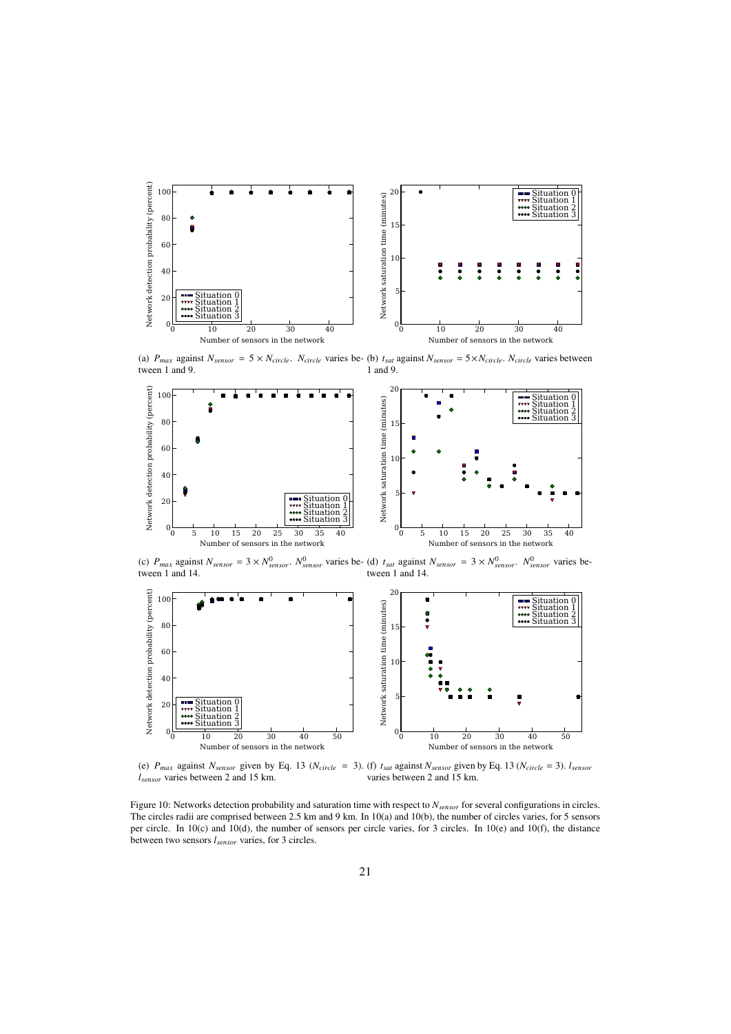

(a)  $P_{max}$  against  $N_{sensor} = 5 \times N_{circle}$ . N<sub>circle</sub> varies be- (b)  $t_{sat}$  against  $N_{sensor} = 5 \times N_{circle}$ . N<sub>circle</sub> varies between tween 1 and 9.  $\frac{1}{1}$  and 9.



(c)  $P_{max}$  against  $N_{sensor} = 3 \times N_{sensor}^0$ .  $N_{sensor}^0$  varies be- (d)  $t_{sat}$  against  $N_{sensor} = 3 \times N_{sensor}^0$ .  $N_{sensor}^0$  varies between 1 and 14. tween 1 and 14.



(e)  $P_{max}$  against  $N_{sensor}$  given by Eq. 13 ( $N_{circle} = 3$ ). *lsensor* varies between 2 and 15 km. (f)  $t_{sat}$  against  $N_{sensor}$  given by Eq. 13 ( $N_{circle} = 3$ ).  $l_{sensor}$ varies between 2 and 15 km.

Figure 10: Networks detection probability and saturation time with respect to *Nsensor* for several configurations in circles. The circles radii are comprised between 2.5 km and 9 km. In  $10(a)$  and  $10(b)$ , the number of circles varies, for 5 sensors per circle. In 10(c) and 10(d), the number of sensors per circle varies, for 3 circles. In 10(e) and 10(f), the distance between two sensors *lsensor* varies, for 3 circles.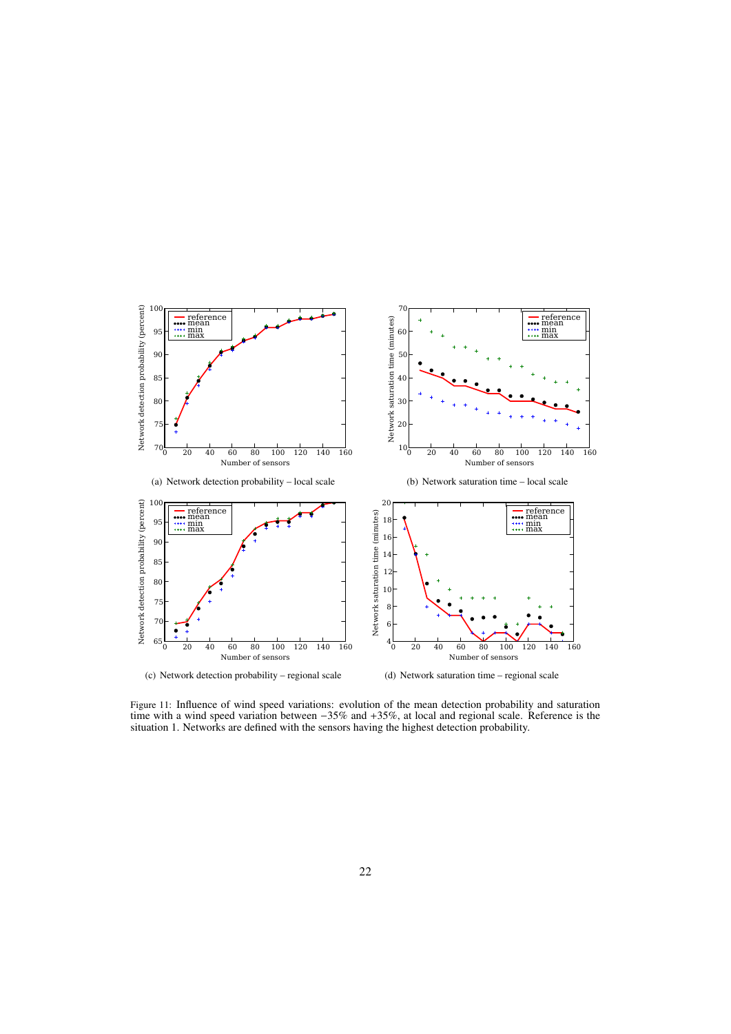

Figure 11: Influence of wind speed variations: evolution of the mean detection probability and saturation time with a wind speed variation between −35% and +35%, at local and regional scale. Reference is the situation 1. Networks are defined with the sensors having the highest detection probability.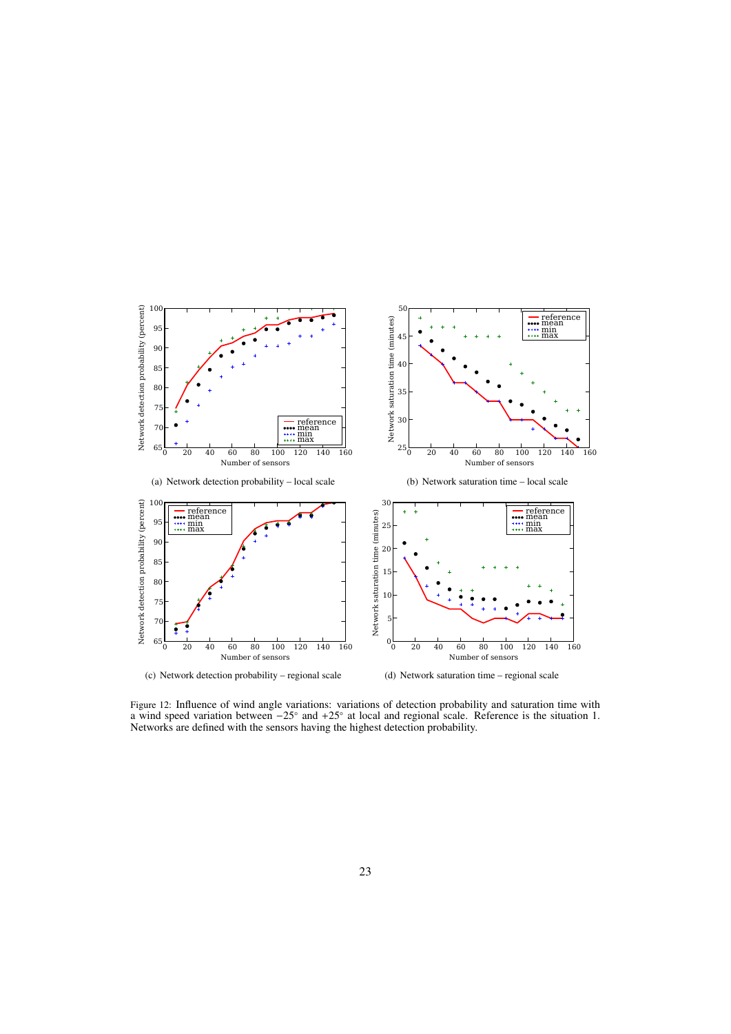

Figure 12: Influence of wind angle variations: variations of detection probability and saturation time with a wind speed variation between −25◦ and +25◦ at local and regional scale. Reference is the situation 1. Networks are defined with the sensors having the highest detection probability.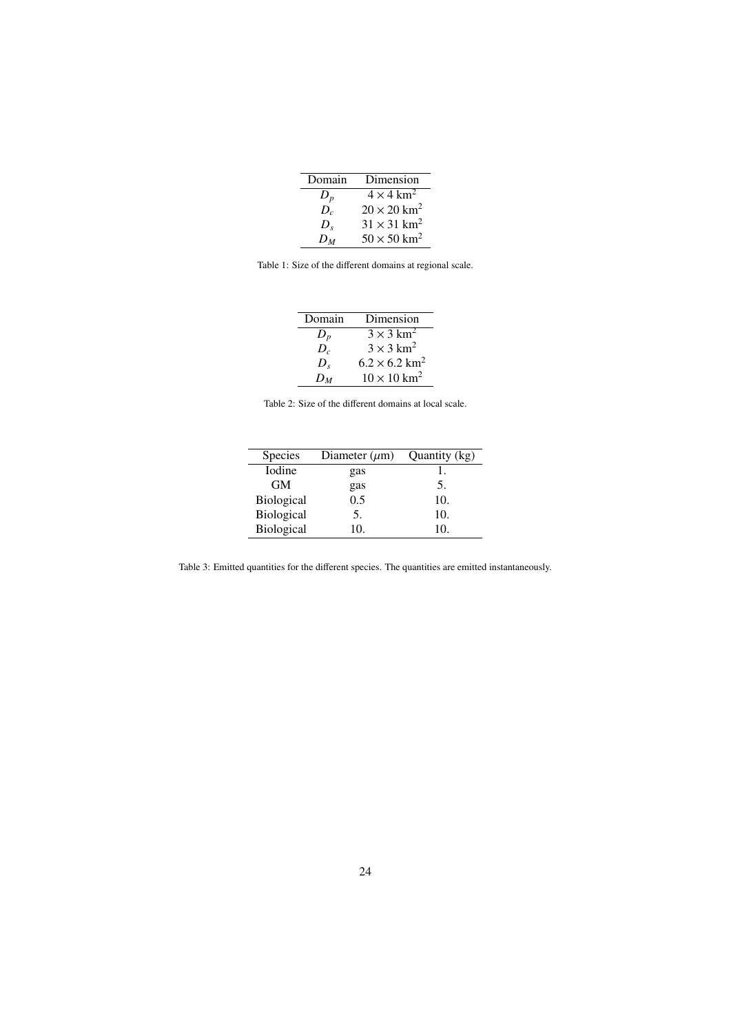| Domain | Dimension                      |
|--------|--------------------------------|
| $D_n$  | $4 \times 4$ km <sup>2</sup>   |
| D.     | $20 \times 20$ km <sup>2</sup> |
| D.     | $31 \times 31$ km <sup>2</sup> |
| Dм     | $50 \times 50$ km <sup>2</sup> |

Table 1: Size of the different domains at regional scale.

| Domain  | Dimension                        |
|---------|----------------------------------|
| $D_n$   | $3 \times 3$ km <sup>2</sup>     |
| $D_c$   | $3 \times 3$ km <sup>2</sup>     |
| $D_{s}$ | $6.2 \times 6.2$ km <sup>2</sup> |
| $D_M$   | $10 \times 10$ km <sup>2</sup>   |

Table 2: Size of the different domains at local scale.

| Species           | Diameter $(\mu m)$ | Quantity (kg) |
|-------------------|--------------------|---------------|
| <b>I</b> odine    | gas                |               |
| GМ                | gas                | 5.            |
| <b>Biological</b> | 0.5                | 10.           |
| Biological        | 5.                 | 10.           |
| Biological        | 10.                | 10.           |

Table 3: Emitted quantities for the different species. The quantities are emitted instantaneously.